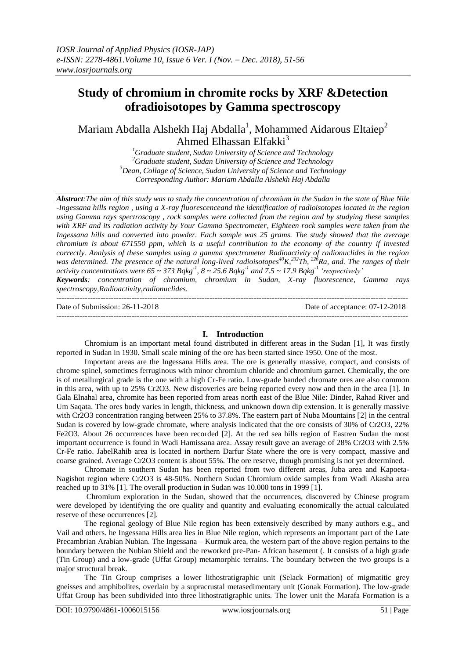# **Study of chromium in chromite rocks by XRF &Detection ofradioisotopes by Gamma spectroscopy**

Mariam Abdalla Alshekh Haj Abdalla $^1$ , Mohammed Aidarous Eltaiep $^2$ Ahmed Elhassan Elfakki $3$ 

> *Graduate student, Sudan University of Science and Technology Graduate student, Sudan University of Science and Technology Dean, Collage of Science, Sudan University of Science and Technology Corresponding Author: Mariam Abdalla Alshekh Haj Abdalla*

*Abstract:The aim of this study was to study the concentration of chromium in the Sudan in the state of Blue Nile -Ingessana hills region , using a X-ray fluorescenceand the identification of radioisotopes located in the region using Gamma rays spectroscopy , rock samples were collected from the region and by studying these samples with XRF and its radiation activity by Your Gamma Spectrometer, Eighteen rock samples were taken from the Ingessana hills and converted into powder. Each sample was 25 grams. The study showed that the average chromium is about 671550 ppm, which is a useful contribution to the economy of the country if invested correctly. Analysis of these samples using a gamma spectrometer Radioactivity of radionuclides in the region was determined. The presence of the natural long-lived radioisotopes<sup>40</sup>K,<sup>232</sup>Th, <sup>226</sup>Ra, and. The ranges of their activity concentrations were*  $65 \sim 373$  $Bqkg^{-1}$ *,*  $8 \sim 25.6$  $Bqkg^{-1}$  *and*  $7.5 \sim 17.9$  $Bqkg^{-1}$  *'respectively' Keywords: concentration of chromium, chromium in Sudan, X-ray fluorescence, Gamma rays spectroscopy,Radioactivity,radionuclides.*

 $-1\leq i\leq n-1$ 

Date of Submission: 26-11-2018 Date of acceptance: 07-12-2018

# **I. Introduction**

 $-1-\frac{1}{2}$ 

Chromium is an important metal found distributed in different areas in the Sudan [1], It was firstly reported in Sudan in 1930. Small scale mining of the ore has been started since 1950. One of the most.

Important areas are the Ingessana Hills area. The ore is generally massive, compact, and consists of chrome spinel, sometimes ferruginous with minor chromium chloride and chromium garnet. Chemically, the ore is of metallurgical grade is the one with a high Cr-Fe ratio. Low-grade banded chromate ores are also common in this area, with up to 25% Cr2O3. New discoveries are being reported every now and then in the area [1]. In Gala Elnahal area, chromite has been reported from areas north east of the Blue Nile: Dinder, Rahad River and Um Saqata. The ores body varies in length, thickness, and unknown down dip extension. It is generally massive with Cr2O3 concentration ranging between 25% to 37.8%. The eastern part of Nuba Mountains [2] in the central Sudan is covered by low-grade chromate, where analysis indicated that the ore consists of 30% of Cr2O3, 22% Fe2O3. About 26 occurrences have been recorded [2]. At the red sea hills region of Eastren Sudan the most important occurrence is found in Wadi Hamissana area. Assay result gave an average of 28% Cr2O3 with 2.5% Cr-Fe ratio. JabelRahib area is located in northern Darfur State where the ore is very compact, massive and coarse grained. Average Cr2O3 content is about 55%. The ore reserve, though promising is not yet determined.

Chromate in southern Sudan has been reported from two different areas, Juba area and Kapoeta-Nagishot region where Cr2O3 is 48-50%. Northern Sudan Chromium oxide samples from Wadi Akasha area reached up to 31% [1]. The overall production in Sudan was 10.000 tons in 1999 [1].

Chromium exploration in the Sudan, showed that the occurrences, discovered by Chinese program were developed by identifying the ore quality and quantity and evaluating economically the actual calculated reserve of these occurrences [2].

The regional geology of Blue Nile region has been extensively described by many authors e.g., and Vail and others. he Ingessana Hills area lies in Blue Nile region, which represents an important part of the Late Precambrian Arabian Nubian. The Ingessana – Kurmuk area, the western part of the above region pertains to the boundary between the Nubian Shield and the reworked pre-Pan- African basement (. It consists of a high grade (Tin Group) and a low-grade (Uffat Group) metamorphic terrains. The boundary between the two groups is a major structural break.

The Tin Group comprises a lower lithostratigraphic unit (Selack Formation) of migmatitic grey gneisses and amphibolites, overlain by a supracrustal metasedimentary unit (Gonak Formation). The low-grade Uffat Group has been subdivided into three lithostratigraphic units. The lower unit the Marafa Formation is a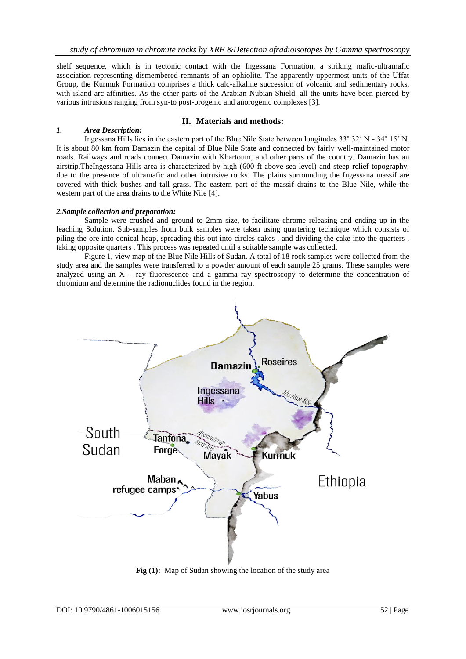shelf sequence, which is in tectonic contact with the Ingessana Formation, a striking mafic-ultramafic association representing dismembered remnants of an ophiolite. The apparently uppermost units of the Uffat Group, the Kurmuk Formation comprises a thick calc-alkaline succession of volcanic and sedimentary rocks, with island-arc affinities. As the other parts of the Arabian-Nubian Shield, all the units have been pierced by various intrusions ranging from syn-to post-orogenic and anorogenic complexes [3].

## **II. Materials and methods:**

## *1. Area Description:*

Ingessana Hills lies in the eastern part of the Blue Nile State between longitudes 33˚ 32΄ N - 34˚ 15΄ N. It is about 80 km from Damazin the capital of Blue Nile State and connected by fairly well-maintained motor roads. Railways and roads connect Damazin with Khartoum, and other parts of the country. Damazin has an airstrip.TheIngessana Hills area is characterized by high (600 ft above sea level) and steep relief topography, due to the presence of ultramafic and other intrusive rocks. The plains surrounding the Ingessana massif are covered with thick bushes and tall grass. The eastern part of the massif drains to the Blue Nile, while the western part of the area drains to the White Nile [4].

## *2.Sample collection and preparation:*

Sample were crushed and ground to 2mm size, to facilitate chrome releasing and ending up in the leaching Solution. Sub-samples from bulk samples were taken using quartering technique which consists of piling the ore into conical heap, spreading this out into circles cakes , and dividing the cake into the quarters , taking opposite quarters . This process was repeated until a suitable sample was collected.

Figure 1, view map of the Blue Nile Hills of Sudan. A total of 18 rock samples were collected from the study area and the samples were transferred to a powder amount of each sample 25 grams. These samples were analyzed using an  $X - ray$  fluorescence and a gamma ray spectroscopy to determine the concentration of chromium and determine the radionuclides found in the region.



**Fig (1):** [Map of Sudan showing the location of the study area](https://www.google.com/url?sa=i&rct=j&q=&esrc=s&source=images&cd=&cad=rja&uact=8&ved=2ahUKEwiP1ZT82-PeAhWG34UKHZa4APkQjRx6BAgBEAU&url=http://archive.irinnews.org/multimedia/BlueNile/&psig=AOvVaw3MgYkTulZ7huXxVDiMJjO1&ust=1542828977186003)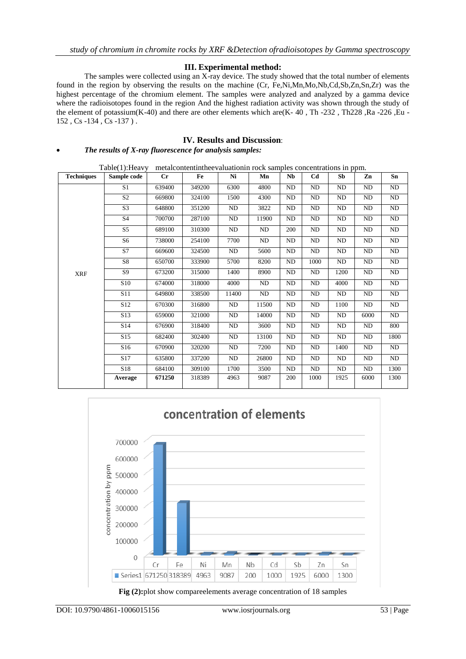# **III. Experimental method:**

The samples were collected using an X-ray device. The study showed that the total number of elements found in the region by observing the results on the machine (Cr, Fe,Ni,Mn,Mo,Nb,Cd,Sb,Zn,Sn,Zr) was the highest percentage of the chromium element. The samples were analyzed and analyzed by a gamma device where the radioisotopes found in the region And the highest radiation activity was shown through the study of the element of potassium(K-40) and there are other elements which are(K- 40, Th -232, Th228, Ra -226, Eu -152 , Cs -134 , Cs -137 ) .

# **IV. Results and Discussion**:

## *The results of X-ray fluorescence for analysis samples:*

Table(1):Heavy metalcontentintheevaluationin rock samples concentrations in ppm.

| <b>Techniques</b> | Sample code     | Cr     | Fe     | Ni       | Mn    | <b>Nb</b>      | C <sub>d</sub> | x x<br>Sb      | Zn         | Sn   |
|-------------------|-----------------|--------|--------|----------|-------|----------------|----------------|----------------|------------|------|
|                   | S <sub>1</sub>  | 639400 | 349200 | 6300     | 4800  | ND             | ND             | ND             | ${\rm ND}$ | ND   |
|                   | S <sub>2</sub>  | 669800 | 324100 | 1500     | 4300  | <b>ND</b>      | ND             | ND             | <b>ND</b>  | ND   |
|                   | S <sub>3</sub>  | 648800 | 351200 | ND       | 3822  | ND             | ND             | <b>ND</b>      | ND         | ND   |
|                   | <b>S4</b>       | 700700 | 287100 | ND       | 11900 | <b>ND</b>      | ND             | <b>ND</b>      | <b>ND</b>  | ND   |
|                   | S <sub>5</sub>  | 689100 | 310300 | ND       | ND    | 200            | ND             | <b>ND</b>      | <b>ND</b>  | ND   |
| <b>XRF</b>        | S <sub>6</sub>  | 738000 | 254100 | 7700     | ND    | N <sub>D</sub> | ND             | N <sub>D</sub> | ND         | ND   |
|                   | S7              | 669600 | 324500 | ND       | 5600  | ND             | ND             | ND             | ${\rm ND}$ | ND   |
|                   | S8              | 650700 | 333900 | 5700     | 8200  | <b>ND</b>      | 1000           | ND             | ND         | ND   |
|                   | S <sub>9</sub>  | 673200 | 315000 | 1400     | 8900  | <b>ND</b>      | ND             | 1200           | <b>ND</b>  | ND   |
|                   | S <sub>10</sub> | 674000 | 318000 | 4000     | ND    | N <sub>D</sub> | ND             | 4000           | ND         | ND   |
|                   | S11             | 649800 | 338500 | 11400    | ND    | <b>ND</b>      | ND             | <b>ND</b>      | <b>ND</b>  | ND   |
|                   | S <sub>12</sub> | 670300 | 316800 | ND       | 11500 | ND             | ND             | 1100           | ND         | ND   |
|                   | S <sub>13</sub> | 659000 | 321000 | ND       | 14000 | ND             | ND             | $\rm ND$       | 6000       | ND   |
|                   | S <sub>14</sub> | 676900 | 318400 | $\rm ND$ | 3600  | ND             | ND             | ND             | ND         | 800  |
|                   | S <sub>15</sub> | 682400 | 302400 | ND       | 13100 | ND             | ND             | $\rm ND$       | ND         | 1800 |
|                   | S <sub>16</sub> | 670900 | 320200 | ND       | 7200  | ND             | ND             | 1400           | ND         | ND   |
|                   | S17             | 635800 | 337200 | ND       | 26800 | ND             | ND             | ND             | ${\rm ND}$ | ND   |
|                   | S18             | 684100 | 309100 | 1700     | 3500  | <b>ND</b>      | ND             | <b>ND</b>      | ND         | 1300 |
|                   | Average         | 671250 | 318389 | 4963     | 9087  | 200            | 1000           | 1925           | 6000       | 1300 |



**Fig (2):**plot show compareelements average concentration of 18 samples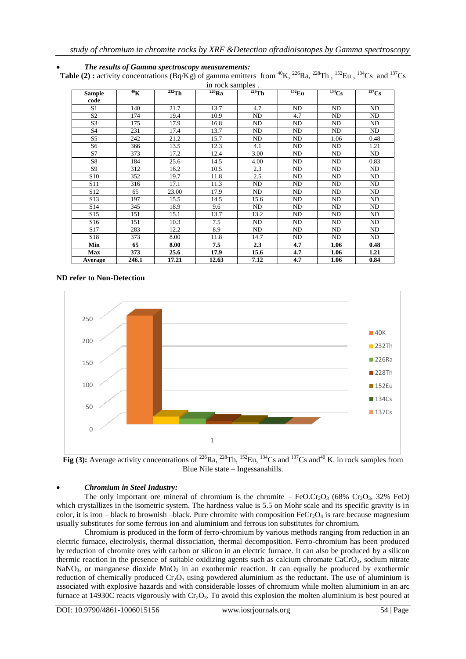|                 |           |             | in rock samples. |             |             |                                     |                |
|-----------------|-----------|-------------|------------------|-------------|-------------|-------------------------------------|----------------|
| <b>Sample</b>   | $^{40}$ K | $^{232}$ Th | $^{226}Ra$       | $^{228}$ Th | $^{152}$ Eu | $\overline{^{134}\text{C}}\text{s}$ | $^{137}Cs$     |
| code            |           |             |                  |             |             |                                     |                |
| S1              | 140       | 21.7        | 13.7             | 4.7         | ND          | ND                                  | <b>ND</b>      |
| S <sub>2</sub>  | 174       | 19.4        | 10.9             | ND          | 4.7         | ND                                  | <b>ND</b>      |
| S <sub>3</sub>  | 175       | 17.9        | 16.8             | ND          | ND          | ND                                  | <b>ND</b>      |
| S <sub>4</sub>  | 231       | 17.4        | 13.7             | ND          | ND          | ND                                  | ND             |
| S <sub>5</sub>  | 242       | 21.2        | 15.7             | ND          | ND          | 1.06                                | 0.48           |
| S6              | 366       | 13.5        | 12.3             | 4.1         | ND          | ND                                  | 1.21           |
| S7              | 373       | 17.2        | 12.4             | 3.00        | ND          | ND                                  | ND             |
| S8              | 184       | 25.6        | 14.5             | 4.00        | ND          | ND                                  | 0.83           |
| S9              | 312       | 16.2        | 10.5             | 2.3         | ND          | ND                                  | N <sub>D</sub> |
| S <sub>10</sub> | 352       | 19.7        | 11.8             | 2.5         | ND          | ND                                  | N <sub>D</sub> |
| S11             | 316       | 17.1        | 11.3             | ND          | ND          | ND                                  | N <sub>D</sub> |
| S <sub>12</sub> | 65        | 23.00       | 17.9             | ND          | ND          | ND                                  | N <sub>D</sub> |
| S <sub>13</sub> | 197       | 15.5        | 14.5             | 15.6        | ND          | ND                                  | N <sub>D</sub> |
| S14             | 345       | 18.9        | 9.6              | ND          | ND          | N <sub>D</sub>                      | N <sub>D</sub> |
| S <sub>15</sub> | 151       | 15.1        | 13.7             | 13.2        | ND          | ND                                  | N <sub>D</sub> |
| S <sub>16</sub> | 151       | 10.3        | 7.5              | ND          | ND          | ND                                  | N <sub>D</sub> |
| S <sub>17</sub> | 283       | 12.2        | 8.9              | ND          | ND          | ND                                  | N <sub>D</sub> |
| S18             | 373       | 8.00        | 11.8             | 14.7        | ND          | ND                                  | ND             |
| Min             | 65        | 8.00        | 7.5              | 2.3         | 4.7         | 1.06                                | 0.48           |
| <b>Max</b>      | 373       | 25.6        | 17.9             | 15.6        | 4.7         | 1.06                                | 1.21           |
| Average         | 246.1     | 17.21       | 12.63            | 7.12        | 4.7         | 1.06                                | 0.84           |

 *The results of Gamma spectroscopy measurements:* **Table (2) :** activity concentrations  $(Bq/Kg)$  of gamma emitters from <sup>40</sup>K, <sup>226</sup>Ra, <sup>228</sup>Th, <sup>152</sup>Eu, <sup>134</sup>Cs and <sup>137</sup>Cs

**ND refer to Non-Detection**



**Fig (3):** Average activity concentrations of <sup>226</sup>Ra, <sup>228</sup>Th, <sup>152</sup>Eu, <sup>134</sup>Cs and <sup>137</sup>Cs and<sup>40</sup> K, in rock samples from Blue Nile state – Ingessanahills.

# *Chromium in Steel Industry:*

The only important ore mineral of chromium is the chromite –  $FeOCr_2O_3$  (68%  $Cr_2O_3$ , 32% FeO) which crystallizes in the isometric system. The hardness value is 5.5 on Mohr scale and its specific gravity is in color, it is iron – black to brownish –black. Pure chromite with composition FeCr $\cdot$ O<sub>4</sub> is rare because magnesium usually substitutes for some ferrous ion and aluminium and ferrous ion substitutes for chromium.

Chromium is produced in the form of ferro-chromium by various methods ranging from reduction in an electric furnace, electrolysis, thermal dissociation, thermal decomposition. Ferro-chromium has been produced by reduction of chromite ores with carbon or silicon in an electric furnace. It can also be produced by a silicon thermic reaction in the presence of suitable oxidizing agents such as calcium chromate CaCrO4, sodium nitrate NaNO<sub>3</sub>, or manganese dioxide MnO<sub>2</sub> in an exothermic reaction. It can equally be produced by exothermic reduction of chemically produced  $Cr_2O_3$  using powdered aluminium as the reductant. The use of aluminium is associated with explosive hazards and with considerable losses of chromium while molten aluminium in an arc furnace at 14930C reacts vigorously with  $Cr_2O_3$ . To avoid this explosion the molten aluminium is best poured at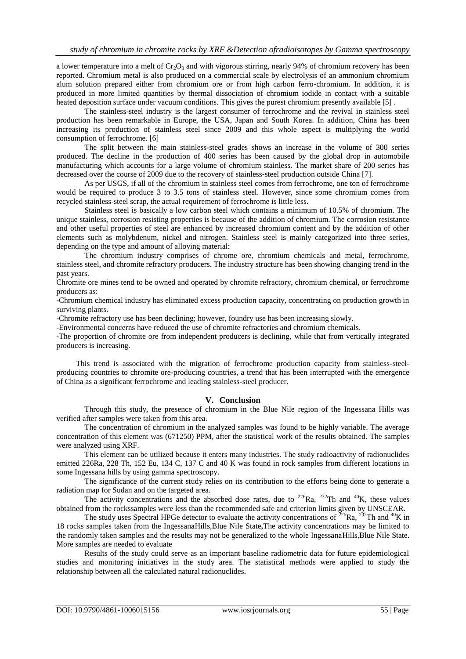a lower temperature into a melt of  $Cr_2O_3$  and with vigorous stirring, nearly 94% of chromium recovery has been reported. Chromium metal is also produced on a commercial scale by electrolysis of an ammonium chromium alum solution prepared either from chromium ore or from high carbon ferro-chromium. In addition, it is produced in more limited quantities by thermal dissociation of chromium iodide in contact with a suitable heated deposition surface under vacuum conditions. This gives the purest chromium presently available [5] .

The stainless-steel industry is the largest consumer of ferrochrome and the revival in stainless steel production has been remarkable in Europe, the USA, Japan and South Korea. In addition, China has been increasing its production of stainless steel since 2009 and this whole aspect is multiplying the world consumption of ferrochrome. [6]

The split between the main stainless-steel grades shows an increase in the volume of 300 series produced. The decline in the production of 400 series has been caused by the global drop in automobile manufacturing which accounts for a large volume of chromium stainless. The market share of 200 series has decreased over the course of 2009 due to the recovery of stainless-steel production outside China [7].

As per USGS, if all of the chromium in stainless steel comes from ferrochrome, one ton of ferrochrome would be required to produce 3 to 3.5 tons of stainless steel. However, since some chromium comes from recycled stainless-steel scrap, the actual requirement of ferrochrome is little less.

Stainless steel is basically a low carbon steel which contains a minimum of 10.5% of chromium. The unique stainless, corrosion resisting properties is because of the addition of chromium. The corrosion resistance and other useful properties of steel are enhanced by increased chromium content and by the addition of other elements such as molybdenum, nickel and nitrogen. Stainless steel is mainly categorized into three series, depending on the type and amount of alloying material:

The chromium industry comprises of chrome ore, chromium chemicals and metal, ferrochrome, stainless steel, and chromite refractory producers. The industry structure has been showing changing trend in the past years.

Chromite ore mines tend to be owned and operated by chromite refractory, chromium chemical, or ferrochrome producers as:

-Chromium chemical industry has eliminated excess production capacity, concentrating on production growth in surviving plants.

-Chromite refractory use has been declining; however, foundry use has been increasing slowly.

-Environmental concerns have reduced the use of chromite refractories and chromium chemicals.

-The proportion of chromite ore from independent producers is declining, while that from vertically integrated producers is increasing.

 This trend is associated with the migration of ferrochrome production capacity from stainless-steelproducing countries to chromite ore-producing countries, a trend that has been interrupted with the emergence of China as a significant ferrochrome and leading stainless-steel producer.

## **V. Conclusion**

Through this study, the presence of chromium in the Blue Nile region of the Ingessana Hills was verified after samples were taken from this area.

The concentration of chromium in the analyzed samples was found to be highly variable. The average concentration of this element was (671250) PPM, after the statistical work of the results obtained. The samples were analyzed using XRF.

This element can be utilized because it enters many industries. The study radioactivity of radionuclides emitted 226Ra, 228 Th, 152 Eu, 134 C, 137 C and 40 K was found in rock samples from different locations in some Ingessana hills by using gamma spectroscopy.

The significance of the current study relies on its contribution to the efforts being done to generate a radiation map for Sudan and on the targeted area.

The activity concentrations and the absorbed dose rates, due to  $^{226}Ra$ ,  $^{232}Th$  and  $^{40}K$ , these values obtained from the rockssamples were less than the recommended safe and criterion limits given by UNSCEAR.

The study uses Spectral HPGe detector to evaluate the activity concentrations of  $^{226}Ra$ ,  $^{232}Th$  and  $^{40}K$  in 18 rocks samples taken from the IngessanaHills,Blue Nile State**,**The activity concentrations may be limited to the randomly taken samples and the results may not be generalized to the whole IngessanaHills,Blue Nile State. More samples are needed to evaluate

Results of the study could serve as an important baseline radiometric data for future epidemiological studies and monitoring initiatives in the study area. The statistical methods were applied to study the relationship between all the calculated natural radionuclides.